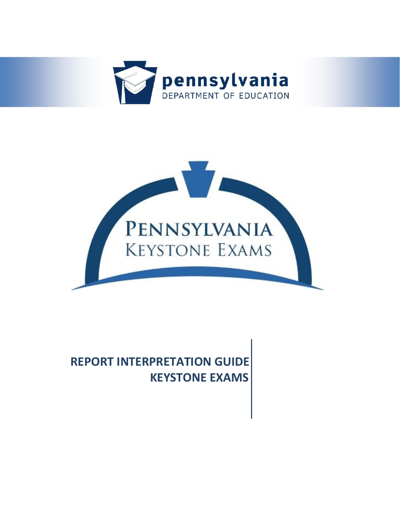



# **REPORT INTERPRETATION GUIDE KEYSTONE EXAMS**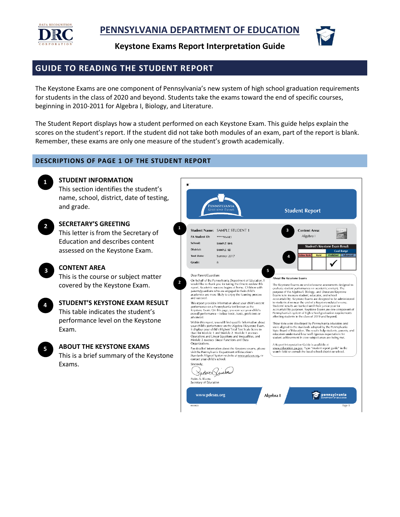

**Keystone Exams Report Interpretation Guide** 



## **GUIDE TO READING THE STUDENT REPORT**

 The Keystone Exams are one component of Pennsylvania's new system of high school graduation requirements for students in the class of 2020 and beyond. Students take the exams toward the end of specific courses, beginning in 2010-2011 for Algebra I, Biology, and Literature.

The Student Report displays how a student performed on each Keystone Exam. This guide helps explain the scores on the student's report. If the student did not take both modules of an exam, part of the report is blank. Remember, these exams are only one measure of the student's growth academically.

#### **DESCRIPTIONS OF PAGE 1 OF THE STUDENT REPORT**



#### **STUDENT INFORMATION**

This section identifies the student's name, school, district, date of testing, and grade.



# **SECRETARY'S GREETING**

This letter is from the Secretary of Education and describes content assessed on the Keystone Exam.



**5** 

#### **CONTENT AREA**

This is the course or subject matter covered by the Keystone Exam.

| 4 | <b>STUDENT'S KEYSTONE EXAM RESULT</b> |
|---|---------------------------------------|
|   | This table indicates the student's    |
|   | performance level on the Keystone     |
|   | Exam.                                 |

## **ABOUT THE KEYSTONE EXAMS**  This is a brief summary of the Keystone

Exams.

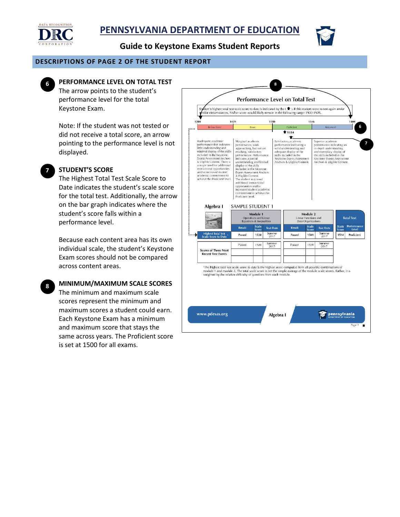

**Guide to Keystone Exams Student Reports** 

#### **DESCRIPTIONS OF PAGE 2 OF THE STUDENT REPORT**



#### **PERFORMANCE LEVEL ON TOTAL TEST**

The arrow points to the student's performance level for the total Keystone Exam.

Note: If the student was not tested or did not receive a total score, an arrow pointing to the performance level is not displayed.



**8** 

#### **STUDENT'S SCORE**

The Highest Total Test Scale Score to Date indicates the student's scale score for the total test. Additionally, the arrow on the bar graph indicates where the student's score falls within a performance level.

 Exam scores should not be compared Because each content area has its own individual scale, the student's Keystone across content areas.

**MINIMUM/MAXIMUM SCALE SCORES** 

The minimum and maximum scale scores represent the minimum and maximum scores a student could earn. Each Keystone Exam has a minimum and maximum score that stays the same across years. The Proficient score is set at 1500 for all exams.

| 1200                                                                                                                                                                                                                                                                                                                                              |                                                                                                                                                                                                                                                                                                                   | 1439<br>1500                                                                                                                                                                                                                                                                                                                                                                                                                                    |                       |                  | 1546                                                                                                                                                                 |                   |                                                                                                                                                                           | 1800             |                       |                      |
|---------------------------------------------------------------------------------------------------------------------------------------------------------------------------------------------------------------------------------------------------------------------------------------------------------------------------------------------------|-------------------------------------------------------------------------------------------------------------------------------------------------------------------------------------------------------------------------------------------------------------------------------------------------------------------|-------------------------------------------------------------------------------------------------------------------------------------------------------------------------------------------------------------------------------------------------------------------------------------------------------------------------------------------------------------------------------------------------------------------------------------------------|-----------------------|------------------|----------------------------------------------------------------------------------------------------------------------------------------------------------------------|-------------------|---------------------------------------------------------------------------------------------------------------------------------------------------------------------------|------------------|-----------------------|----------------------|
|                                                                                                                                                                                                                                                                                                                                                   | Below Basic                                                                                                                                                                                                                                                                                                       |                                                                                                                                                                                                                                                                                                                                                                                                                                                 | Basic                 |                  |                                                                                                                                                                      | <b>Proficient</b> |                                                                                                                                                                           | Advanced         |                       | 6                    |
|                                                                                                                                                                                                                                                                                                                                                   |                                                                                                                                                                                                                                                                                                                   |                                                                                                                                                                                                                                                                                                                                                                                                                                                 |                       |                  |                                                                                                                                                                      | \$1514<br>÷       |                                                                                                                                                                           |                  |                       |                      |
| performance that indicates<br>little understanding and<br>minimal display of the skills<br>included in the Keystone<br>Exams Assessment Anchors<br>& Eligible Content, There is<br>a major need for additional<br>instructional opportunities<br>and/or increased student<br>academic commitment to<br>achieve the Proficient level.<br>Algebra I |                                                                                                                                                                                                                                                                                                                   | performance, work<br>approaching, but not yet<br>reaching, satisfactory<br>performance. Performance<br>indicates a partial<br>understanding and limited<br>display of the skills<br>included in the Keystone<br>Exams Assessment Anchors<br>& Eligible Content.<br>The student may need<br>additional instructional<br>opportunities and/or<br>increased student academic<br>commitment to achieve the<br>Proficient level.<br>SAMPLE STUDENT 1 |                       |                  | performance indicating a<br>solid understanding and<br>adequate display of the<br>skills included in the<br>Keystone Exams Assessment<br>Anchors & Eligible Content. |                   | performance indicating an<br>in-depth understanding<br>and exemplary display of<br>the skills included in the<br>Keystone Exams Assessment<br>Anchors & Eligible Content. |                  |                       |                      |
|                                                                                                                                                                                                                                                                                                                                                   |                                                                                                                                                                                                                                                                                                                   | Module 1<br>Operations and Linear<br>Equations & Inequalities                                                                                                                                                                                                                                                                                                                                                                                   |                       |                  | Module 2<br>Linear Functions and<br>Data Organizations                                                                                                               |                   |                                                                                                                                                                           |                  | <b>Total Test</b>     |                      |
|                                                                                                                                                                                                                                                                                                                                                   |                                                                                                                                                                                                                                                                                                                   | Result                                                                                                                                                                                                                                                                                                                                                                                                                                          | <b>Scale</b><br>Score | <b>Test Date</b> |                                                                                                                                                                      | <b>Result</b>     | <b>Scale</b><br>Score                                                                                                                                                     | <b>Test Date</b> | <b>Scale</b><br>Score | Performance<br>Level |
|                                                                                                                                                                                                                                                                                                                                                   | <b>Highest Total Test</b><br>Scale Score to Date                                                                                                                                                                                                                                                                  | Passed                                                                                                                                                                                                                                                                                                                                                                                                                                          | 1520                  | Summer<br>2017   |                                                                                                                                                                      | Passed            | 1509                                                                                                                                                                      | Summer<br>2017   | 1514                  | Proficient           |
|                                                                                                                                                                                                                                                                                                                                                   |                                                                                                                                                                                                                                                                                                                   | Passed                                                                                                                                                                                                                                                                                                                                                                                                                                          | 1520                  | Summer<br>2017   |                                                                                                                                                                      | Passed            | 1509                                                                                                                                                                      | Summer<br>2017   |                       |                      |
|                                                                                                                                                                                                                                                                                                                                                   | <b>Scores of Three Most</b><br><b>Recent Test Events</b>                                                                                                                                                                                                                                                          |                                                                                                                                                                                                                                                                                                                                                                                                                                                 |                       |                  |                                                                                                                                                                      |                   |                                                                                                                                                                           |                  |                       |                      |
|                                                                                                                                                                                                                                                                                                                                                   | <sup>1</sup> The highest total test scale score to date is the highest score computed from all possible combinations of<br>module 1 and module 2. The total scale score is not the simple average of the module scale scores. Rather, it is<br>weighted by the relative difficulty of questions from each module. |                                                                                                                                                                                                                                                                                                                                                                                                                                                 |                       |                  |                                                                                                                                                                      |                   |                                                                                                                                                                           |                  |                       |                      |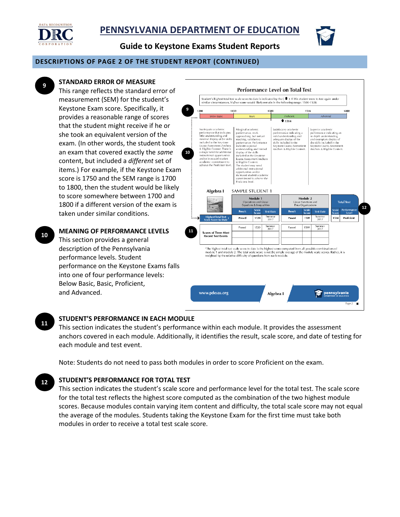



**Guide to Keystone Exams Student Reports** 

#### **DESCRIPTIONS OF PAGE 2 OF THE STUDENT REPORT (CONTINUED)**



## **STANDARD ERROR OF MEASURE**

 1800 if a different version of the exam is This range reflects the standard error of measurement (SEM) for the student's Keystone Exam score. Specifically, it provides a reasonable range of scores that the student might receive if he or she took an equivalent version of the exam. (In other words, the student took an exam that covered exactly the *same* content, but included a *different* set of items.) For example, if the Keystone Exam score is 1750 and the SEM range is 1700 to 1800, then the student would be likely to score somewhere between 1700 and taken under similar conditions.

**10 MEANING OF PERFORMANCE LEVELS**  This section provides a general description of the Pennsylvania performance levels. Student performance on the Keystone Exams falls into one of four performance levels: Below Basic, Basic, Proficient, and Advanced.



#### **11 STUDENT'S PERFORMANCE IN EACH MODULE**

This section indicates the student's performance within each module. It provides the assessment anchors covered in each module. Additionally, it identifies the result, scale score, and date of testing for each module and test event.

Note: Students do not need to pass both modules in order to score Proficient on the exam.

#### **12 STUDENT'S PERFORMANCE FOR TOTAL TEST**

This section indicates the student's scale score and performance level for the total test. The scale score for the total test reflects the highest score computed as the combination of the two highest module scores. Because modules contain varying item content and difficulty, the total scale score may not equal the average of the modules. Students taking the Keystone Exam for the first time must take both modules in order to receive a total test scale score.